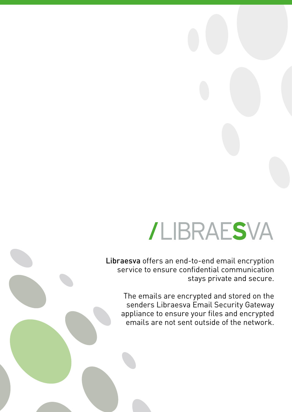## /LIBRAESVA

Libraesva offers an end-to-end email encryption service to ensure confidential communication stays private and secure.

The emails are encrypted and stored on the senders Libraesva Email Security Gateway appliance to ensure your files and encrypted emails are not sent outside of the network.